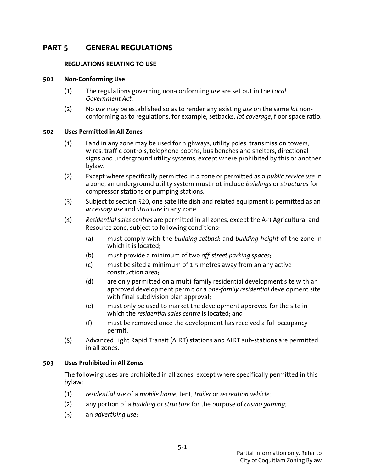# **PART 5 GENERAL REGULATIONS**

# **REGULATIONS RELATING TO USE**

#### **501 Non-Conforming Use**

- (1) The regulations governing non-conforming *use* are set out in the *Local Government Act*.
- (2) No *use* may be established so as to render any existing *use* on the same *lot* nonconforming as to regulations, for example, setbacks, *lot coverage*, floor space ratio.

#### **502 Uses Permitted in All Zones**

- (1) Land in any zone may be used for highways, utility poles, transmission towers, wires, traffic controls, telephone booths, bus benches and shelters, directional signs and underground utility systems, except where prohibited by this or another bylaw.
- (2) Except where specifically permitted in a zone or permitted as a *public service use* in a zone, an underground utility system must not include *building*s or *structure*s for compressor stations or pumping stations.
- (3) Subject to section 520, one satellite dish and related equipment is permitted as an *accessory use* and *structure* in any zone.
- (4) *Residential sales centres* are permitted in all zones, except the A-3 Agricultural and Resource zone, subject to following conditions:
	- (a) must comply with the *building setback* and *building height* of the zone in which it is located;
	- (b) must provide a minimum of two *off-street parking spaces*;
	- (c) must be sited a minimum of 1.5 metres away from an any active construction area;
	- (d) are only permitted on a multi-family residential development site with an approved development permit or a *one-family residential* development site with final subdivision plan approval;
	- (e) must only be used to market the development approved for the site in which the *residential sales centre* is located; and
	- (f) must be removed once the development has received a full occupancy permit.
- (5) Advanced Light Rapid Transit (ALRT) stations and ALRT sub-stations are permitted in all zones.

### **503 Uses Prohibited in All Zones**

The following uses are prohibited in all zones, except where specifically permitted in this bylaw:

- (1) *residential use* of a *mobile home*, tent, *trailer* or *recreation vehicle*;
- (2) any portion of a *building* or *structure* for the purpose of *casino gaming*;
- (3) an *advertising use*;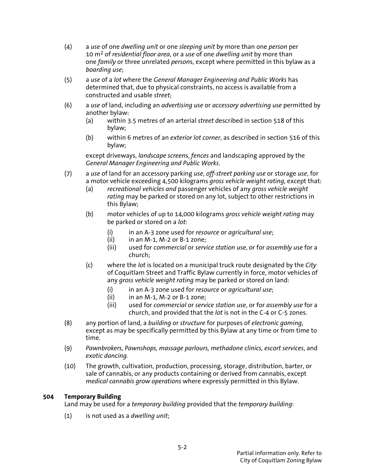- (4) a *use* of one *dwelling unit* or one *sleeping unit* by more than one *person* per 10 m2 of *residential floor area*, or a *use* of one *dwelling unit* by more than one *family* or three unrelated *person*s, except where permitted in this bylaw as a *boarding use*;
- (5) a *use* of a *lot* where the *General Manager Engineering and Public Works* has determined that, due to physical constraints, no access is available from a constructed and usable *street*;
- (6) a *use* of land, including an *advertising use* or *accessory advertising use* permitted by another bylaw:
	- (a) within 3.5 metres of an arterial *street* described in section 518 of this bylaw;
	- (b) within 6 metres of an *exterior lot corner*, as described in section 516 of this bylaw;

 except driveways, *landscape screen*s, *fences* and landscaping approved by the *General Manager Engineering and Public Works*.

- (7) a *use* of land for an accessory parking *use*, *off-street parking use* or storage *use*, for a motor vehicle exceeding 4,500 kilograms *gross vehicle weight rating*, except that:
	- (a) *recreational vehicles and* passenger vehicles of any *gross vehicle weight rating* may be parked or stored on any lot, subject to other restrictions in this Bylaw;
	- (b) motor vehicles of up to 14,000 kilograms *gross vehicle weight rating* may be parked or stored on a *lot*:
		- (i) in an A-3 zone used for *resource* or *agricultural use*;
		- in an  $M-1$ ,  $M-2$  or  $B-1$  zone;
		- (iii) used for *commercial* or *service station use*, or for *assembly use* for a church;
	- (c) where the *lot* is located on a municipal truck route designated by the *City* of Coquitlam Street and Traffic Bylaw currently in force, motor vehicles of any *gross vehicle weight rating* may be parked or stored on land:
		- (i) in an A-3 zone used for *resource* or *agricultural use*;
		- $(ii)$  in an M-1, M-2 or B-1 zone;
		- (iii) used for *commercial* or *service station use*, or for *assembly use* for a church, and provided that the *lot* is not in the C-4 or C-5 zones.
- (8) any portion of land, a *building* or *structure* for purposes of *electronic gaming*, except as may be specifically permitted by this Bylaw at any time or from time to time.
- (9) *Pawnbrokers, Pawnshops, massage parlours, methadone clinics, escort services*, and *exotic dancing.*
- (10) The growth, cultivation, production, processing, storage, distribution, barter, or sale of cannabis, or any products containing or derived from cannabis, except *medical cannabis grow operations* where expressly permitted in this Bylaw.

### **504 Temporary Building**

Land may be used for a *temporary building* provided that the *temporary building*:

(1) is not used as a *dwelling unit*;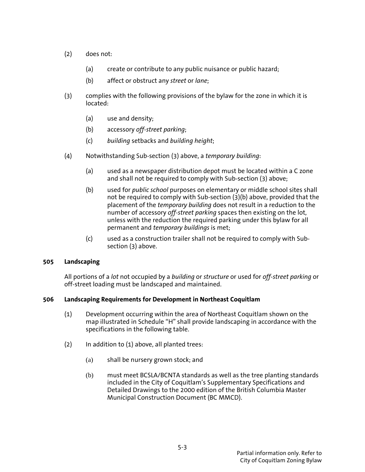- (2) does not:
	- (a) create or contribute to any public nuisance or public hazard;
	- (b) affect or obstruct any *street* or *lane*;
- (3) complies with the following provisions of the bylaw for the zone in which it is located:
	- (a) use and density;
	- (b) accessory *off-street parking*;
	- (c) *building* setbacks and *building height*;
- (4) Notwithstanding Sub-section (3) above, a *temporary building*:
	- (a) used as a newspaper distribution depot must be located within a C zone and shall not be required to comply with Sub-section (3) above;
	- (b) used for *public school* purposes on elementary or middle school sites shall not be required to comply with Sub-section (3)(b) above, provided that the placement of the *temporary building* does not result in a reduction to the number of accessory *off-street parking* spaces then existing on the lot, unless with the reduction the required parking under this bylaw for all permanent and *temporary buildings* is met;
	- (c) used as a construction trailer shall not be required to comply with Subsection (3) above.

### **505 Landscaping**

 All portions of a *lot* not occupied by a *building* or *structure* or used for *off-street parking* or off-street loading must be landscaped and maintained.

### **506 Landscaping Requirements for Development in Northeast Coquitlam**

- (1) Development occurring within the area of Northeast Coquitlam shown on the map illustrated in Schedule "H" shall provide landscaping in accordance with the specifications in the following table.
- $(2)$  In addition to  $(1)$  above, all planted trees:
	- (a) shall be nursery grown stock; and
	- (b) must meet BCSLA/BCNTA standards as well as the tree planting standards included in the City of Coquitlam's Supplementary Specifications and Detailed Drawings to the 2000 edition of the British Columbia Master Municipal Construction Document (BC MMCD).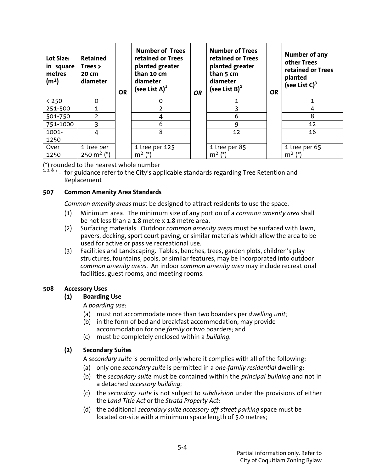| Lot Size:<br>in square<br>metres<br>(m <sup>2</sup> ) | <b>Retained</b><br>Trees $>$<br>20 cm<br>diameter | <b>OR</b> | <b>Number of Trees</b><br>retained or Trees<br>planted greater<br>than 10 cm<br>diameter<br>(see List $A$ ) <sup>1</sup> | <b>OR</b> | <b>Number of Trees</b><br>retained or Trees<br>planted greater<br>than 5 cm<br>diameter<br>(see List B) $^{2}$ | <b>OR</b> | Number of any<br>other Trees<br>retained or Trees<br>planted<br>(see List $C$ ) <sup>3</sup> |
|-------------------------------------------------------|---------------------------------------------------|-----------|--------------------------------------------------------------------------------------------------------------------------|-----------|----------------------------------------------------------------------------------------------------------------|-----------|----------------------------------------------------------------------------------------------|
| $<$ 250                                               | $\Omega$                                          |           | 0                                                                                                                        |           |                                                                                                                |           |                                                                                              |
| 251-500                                               | 1                                                 |           |                                                                                                                          |           |                                                                                                                |           | 4                                                                                            |
| 501-750                                               | $\overline{2}$                                    |           |                                                                                                                          |           | 6                                                                                                              |           | 8                                                                                            |
| 751-1000                                              | 3                                                 |           | 6                                                                                                                        |           | 9                                                                                                              |           | 12                                                                                           |
| 1001-                                                 | 4                                                 |           | 8                                                                                                                        |           | 12                                                                                                             |           | 16                                                                                           |
| 1250                                                  |                                                   |           |                                                                                                                          |           |                                                                                                                |           |                                                                                              |
| Over                                                  | 1 tree per                                        |           | 1 tree per 125                                                                                                           |           | 1 tree per 85                                                                                                  |           | 1 tree per 65                                                                                |
| 1250                                                  | 250 m <sup>2</sup> $(*)$                          |           | $m^2$ $(*)$                                                                                                              |           | $m^2$ (*)                                                                                                      |           | $m^2$ $(*)$                                                                                  |

(\*) rounded to the nearest whole number

<sup>i, 2, & 3</sup> - for guidance refer to the City's applicable standards regarding Tree Retention and Replacement

### **507 Common Amenity Area Standards**

*Common amenity areas* must be designed to attract residents to use the space.

- (1) Minimum area. The minimum size of any portion of a *common amenity area* shall be not less than a 1.8 metre x 1.8 metre area.
- (2) Surfacing materials. Outdoor *common amenity areas* must be surfaced with lawn, pavers, decking, sport court paving, or similar materials which allow the area to be used for active or passive recreational use.
- (3) Facilities and Landscaping. Tables, benches, trees, garden plots, children's play structures, fountains, pools, or similar features, may be incorporated into outdoor *common amenity areas*. An indoor *common amenity area* may include recreational facilities, guest rooms, and meeting rooms.

### **508 Accessory Uses**

# **(1) Boarding Use**

A *boarding use*:

- (a) must not accommodate more than two boarders per *dwelling unit*;
- (b) in the form of bed and breakfast accommodation, may provide
	- accommodation for one *family* or two boarders; and
- (c) must be completely enclosed within a *building*.

# **(2) Secondary Suites**

A *secondary suite* is permitted only where it complies with all of the following:

- (a) only one *secondary suite* is permitted in a *one-family residential* dwelling;
- (b) the *secondary suite* must be contained within the *principal building* and not in a detached *accessory building*;
- (c) the *secondary suite* is not subject to *subdivision* under the provisions of either the *Land Title Act* or the *Strata Property Act*;
- (d) the additional *secondary suite accessory off-street parking* space must be located on-site with a minimum space length of 5.0 metres;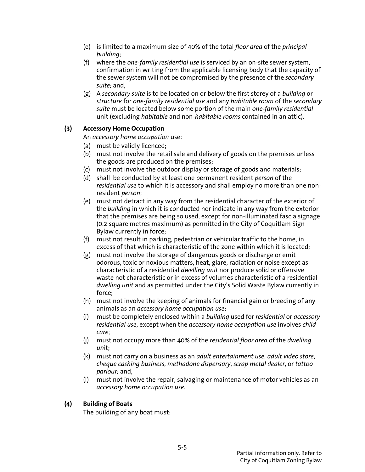- (e) is limited to a maximum size of 40% of the total *floor area* of the *principal building*;
- (f) where the *one-family residential use* is serviced by an on-site sewer system, confirmation in writing from the applicable licensing body that the capacity of the sewer system will not be compromised by the presence of the *secondary suite;* and,
- (g) A *secondary suite* is to be located on or below the first storey of a *building* or *structure* for *one-family residential use* and any *habitable room* of the *secondary suite* must be located below some portion of the main *one-family residential*  unit (excluding *habitable* and non-*habitable rooms* contained in an attic).

# **(3) Accessory Home Occupation**

An *accessory home occupation* use:

- (a) must be validly licenced;
- (b) must not involve the retail sale and delivery of goods on the premises unless the goods are produced on the premises;
- (c) must not involve the outdoor display or storage of goods and materials;
- (d) shall be conducted by at least one permanent resident *person* of the *residential use* to which it is accessory and shall employ no more than one nonresident *person*;
- (e) must not detract in any way from the residential character of the exterior of the *building* in which it is conducted nor indicate in any way from the exterior that the premises are being so used, except for non-illuminated fascia signage (0.2 square metres maximum) as permitted in the City of Coquitlam Sign Bylaw currently in force;
- (f) must not result in parking, pedestrian or vehicular traffic to the home, in excess of that which is characteristic of the zone within which it is located;
- (g) must not involve the storage of dangerous goods or discharge or emit odorous, toxic or noxious matters, heat, glare, radiation or noise except as characteristic of a residential *dwelling unit* nor produce solid or offensive waste not characteristic or in excess of volumes characteristic of a residential *dwelling unit* and as permitted under the City's Solid Waste Bylaw currently in force;
- (h) must not involve the keeping of animals for financial gain or breeding of any animals as an *accessory home occupation use*;
- (i) must be completely enclosed within a *building* used for *residential* or *accessory residential use*, except when the *accessory home occupation use* involves *child care*;
- (j) must not occupy more than 40% of the *residential floor area* of the *dwelling un*it;
- (k) must not carry on a business as an *adult entertainment use*, *adult video store*, *cheque cashing business*, *methadone dispensary*, *scrap metal dealer*, or *tattoo parlour;* and,
- (l) must not involve the repair, salvaging or maintenance of motor vehicles as an *accessory home occupation use*.

# **(4) Building of Boats**

The building of any boat must: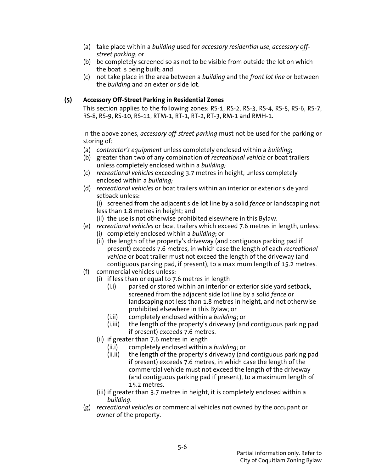- (a) take place within a *building* used for *accessory residential use*, *accessory offstreet parking*; or
- (b) be completely screened so as not to be visible from outside the lot on which the boat is being built; and
- (c) not take place in the area between a *building* and the *front lot line* or between the *building* and an exterior side lot.

# **(5) Accessory Off-Street Parking in Residential Zones**

This section applies to the following zones: RS-1, RS-2, RS-3, RS-4, RS-5, RS-6, RS-7, RS-8, RS-9, RS-10, RS-11, RTM-1, RT-1, RT-2, RT-3, RM-1 and RMH-1.

 In the above zones, *accessory off-street parking* must not be used for the parking or storing of:

- (a) *contractor's equipment* unless completely enclosed within a *building*;
- (b) greater than two of any combination of *recreational vehicle* or boat trailers unless completely enclosed within a *building;*
- (c) *recreational vehicles* exceeding 3.7 metres in height, unless completely enclosed within a *building;*
- (d) *recreational vehicles* or boat trailers within an interior or exterior side yard setback unless:

 (i) screened from the adjacent side lot line by a solid *fence* or landscaping not less than 1.8 metres in height; and

- (ii) the use is not otherwise prohibited elsewhere in this Bylaw.
- (e) *recreational vehicles* or boat trailers which exceed 7.6 metres in length, unless: (i) completely enclosed within a *building*; or
	- (ii) the length of the property's driveway (and contiguous parking pad if present) exceeds 7.6 metres, in which case the length of each *recreational vehicle* or boat trailer must not exceed the length of the driveway (and contiguous parking pad, if present), to a maximum length of 15.2 metres.
- (f) commercial vehicles unless:
	- (i) if less than or equal to 7.6 metres in length
		- (i.i) parked or stored within an interior or exterior side yard setback, screened from the adjacent side lot line by a solid *fence* or landscaping not less than 1.8 metres in height, and not otherwise prohibited elsewhere in this Bylaw; or
		- (i.ii) completely enclosed within a *building*; or
		- (i.iii) the length of the property's driveway (and contiguous parking pad if present) exceeds 7.6 metres.
	- (ii) if greater than 7.6 metres in length
		- (ii.i) completely enclosed within a *building*; or
		- (ii.ii) the length of the property's driveway (and contiguous parking pad if present) exceeds 7.6 metres, in which case the length of the commercial vehicle must not exceed the length of the driveway (and contiguous parking pad if present), to a maximum length of 15.2 metres.
	- (iii) if greater than 3.7 metres in height, it is completely enclosed within a *building*.
- (g) *recreational vehicles* or commercial vehicles not owned by the occupant or owner of the property.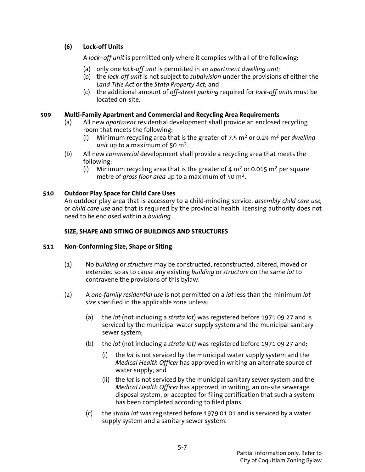# **(6) Lock-off Units**

A *lock–off unit* is permitted only where it complies with all of the following:

- (a) only one *lock-off unit* is permitted in an *apartment dwelling unit;*
- (b) the *lock-off unit* is not subject to *subdivision* under the provisions of either the *Land Title Act* or the *Stata Property Act;* and
- (c) the additional amount of *off-street parking* required for *lock-off units* must be located on-site.

## **509 Multi-Family Apartment and Commercial and Recycling Area Requirements**

- (a) All new *apartment* residential development shall provide an enclosed recycling room that meets the following:
	- (i) Minimum recycling area that is the greater of 7.5 m2 or 0.29 m2 per *dwelling unit* up to a maximum of 50 m2.
- (b) All new *commercial* development shall provide a recycling area that meets the following:
	- (i) Minimum recycling area that is the greater of 4  $m<sup>2</sup>$  or 0.015  $m<sup>2</sup>$  per square metre of *gross floor area* up to a maximum of 50 m2.

# **510 Outdoor Play Space for Child Care Uses**

An outdoor play area that is accessory to a child-minding service, *assembly child care use,* or *child care use* and that is required by the provincial health licensing authority does not need to be enclosed within a *building.*

# **SIZE, SHAPE AND SITING OF BUILDINGS AND STRUCTURES**

# **511 Non-Conforming Size, Shape or Siting**

- (1) No *building* or *structure* may be constructed, reconstructed, altered, moved or extended so as to cause any existing *building* or *structure* on the same *lot* to contravene the provisions of this bylaw.
- (2) A *one-family residential use* is not permitted on a *lot* less than the minimum *lot size* specified in the applicable zone unless:
	- (a) the *lot* (not including a *strata lot*) was registered before 1971 09 27 and is serviced by the municipal water supply system and the municipal sanitary sewer system;
	- (b) the *lot* (not including a *strata lot)* was registered before 1971 09 27 and:
		- (i) the *lot* is not serviced by the municipal water supply system and the *Medical Health Officer* has approved in writing an alternate source of water supply; and
		- (ii) the *lot* is not serviced by the municipal sanitary sewer system and the *Medical Health Officer* has approved, in writing, an on-site sewerage disposal system, or accepted for filing certification that such a system has been completed according to filed plans.
	- (c) the *strata lot* was registered before 1979 01 01 and is serviced by a water supply system and a sanitary sewer system.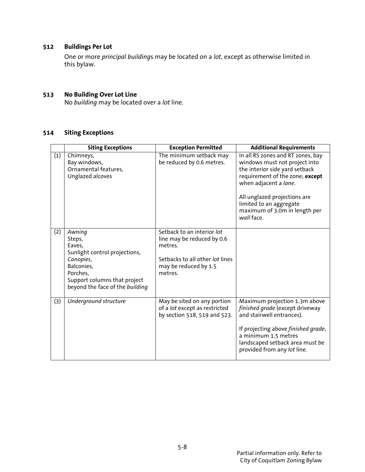# **512 Buildings Per Lot**

 One or more *principal building*s may be located on a *lot*, except as otherwise limited in this bylaw.

#### **513 No Building Over Lot Line**

No *building* may be located over a *lot* line.

# **514 Siting Exceptions**

|     | <b>Siting Exceptions</b>                                                                                                                                              | <b>Exception Permitted</b>                                                                                                                 | <b>Additional Requirements</b>                                                                                                                                                                                                                                             |
|-----|-----------------------------------------------------------------------------------------------------------------------------------------------------------------------|--------------------------------------------------------------------------------------------------------------------------------------------|----------------------------------------------------------------------------------------------------------------------------------------------------------------------------------------------------------------------------------------------------------------------------|
| (1) | Chimneys,<br>Bay windows,<br>Ornamental features,<br>Unglazed alcoves                                                                                                 | The minimum setback may<br>be reduced by 0.6 metres.                                                                                       | In all RS zones and RT zones, bay<br>windows must not project into<br>the interior side yard setback<br>requirement of the zone; except<br>when adjacent a lane.<br>All unglazed projections are<br>limited to an aggregate<br>maximum of 3.0m in length per<br>wall face. |
| (2) | Awning<br>Steps,<br>Eaves,<br>Sunlight control projections,<br>Canopies,<br>Balconies,<br>Porches,<br>Support columns that project<br>beyond the face of the building | Setback to an interior lot<br>line may be reduced by 0.6<br>metres.<br>Setbacks to all other lot lines<br>may be reduced by 1.5<br>metres. |                                                                                                                                                                                                                                                                            |
| (3) | Underground structure                                                                                                                                                 | May be sited on any portion<br>of a lot except as restricted<br>by section 518, 519 and 523.                                               | Maximum projection 1.3m above<br>finished grade (except driveway<br>and stairwell entrances).<br>If projecting above finished grade,<br>a minimum 1.5 metres<br>landscaped setback area must be<br>provided from any lot line.                                             |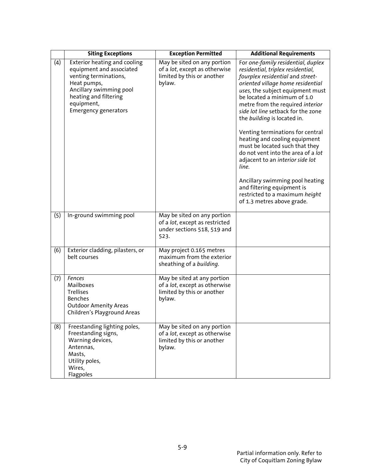|     | <b>Siting Exceptions</b>                                                                                                                                                                          | <b>Exception Permitted</b>                                                                                   | <b>Additional Requirements</b>                                                                                                                                                                                                                                                                                                                                                                                                                                                                                                                                                                                                                          |
|-----|---------------------------------------------------------------------------------------------------------------------------------------------------------------------------------------------------|--------------------------------------------------------------------------------------------------------------|---------------------------------------------------------------------------------------------------------------------------------------------------------------------------------------------------------------------------------------------------------------------------------------------------------------------------------------------------------------------------------------------------------------------------------------------------------------------------------------------------------------------------------------------------------------------------------------------------------------------------------------------------------|
| (4) | Exterior heating and cooling<br>equipment and associated<br>venting terminations,<br>Heat pumps,<br>Ancillary swimming pool<br>heating and filtering<br>equipment,<br><b>Emergency generators</b> | May be sited on any portion<br>of a lot, except as otherwise<br>limited by this or another<br>bylaw.         | For one-family residential, duplex<br>residential, triplex residential,<br>fourplex residential and street-<br>oriented village home residential<br>uses, the subject equipment must<br>be located a minimum of 1.0<br>metre from the required interior<br>side lot line setback for the zone<br>the building is located in.<br>Venting terminations for central<br>heating and cooling equipment<br>must be located such that they<br>do not vent into the area of a lot<br>adjacent to an interior side lot<br>line.<br>Ancillary swimming pool heating<br>and filtering equipment is<br>restricted to a maximum height<br>of 1.3 metres above grade. |
| (5) | In-ground swimming pool                                                                                                                                                                           | May be sited on any portion<br>of a lot, except as restricted<br>under sections 518, 519 and<br>523.         |                                                                                                                                                                                                                                                                                                                                                                                                                                                                                                                                                                                                                                                         |
| (6) | Exterior cladding, pilasters, or<br>belt courses                                                                                                                                                  | May project 0.165 metres<br>maximum from the exterior<br>sheathing of a building.                            |                                                                                                                                                                                                                                                                                                                                                                                                                                                                                                                                                                                                                                                         |
| (7) | Fences<br>Mailboxes<br>Trellises<br><b>Benches</b><br><b>Outdoor Amenity Areas</b><br>Children's Playground Areas                                                                                 | May be sited at any portion<br>of a lot, except as otherwise<br>limited by this or another<br>bylaw.         |                                                                                                                                                                                                                                                                                                                                                                                                                                                                                                                                                                                                                                                         |
| (8) | Freestanding lighting poles,<br>Freestanding signs,<br>Warning devices,<br>Antennas,<br>Masts,<br>Utility poles,<br>Wires,<br>Flagpoles                                                           | May be sited on any portion<br>of a <i>lot</i> , except as otherwise<br>limited by this or another<br>bylaw. |                                                                                                                                                                                                                                                                                                                                                                                                                                                                                                                                                                                                                                                         |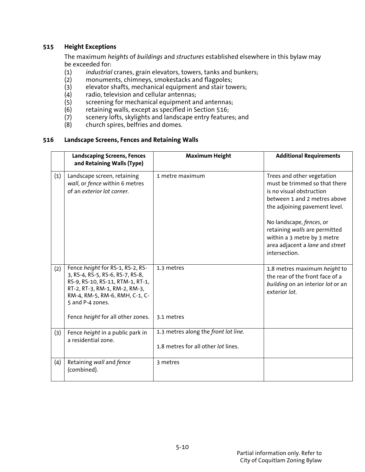# **515 Height Exceptions**

 The maximum *heights* of *buildings* and *structures* established elsewhere in this bylaw may be exceeded for:

- (1) *industrial* cranes, grain elevators, towers, tanks and bunkers;
- monuments, chimneys, smokestacks and flagpoles;
- (3) elevator shafts, mechanical equipment and stair towers;
- (4) radio, television and cellular antennas;<br>(5) screening for mechanical equipment are
- $(5)$  screening for mechanical equipment and antennas;<br>(6) retaining walls, except as specified in Section 516;
- retaining walls, except as specified in Section 516;
- (7) scenery lofts, skylights and landscape entry features; and
- (8) church spires, belfries and domes.

#### **516 Landscape Screens, Fences and Retaining Walls**

|     | <b>Landscaping Screens, Fences</b><br>and Retaining Walls (Type)                                                                                                                                                                     | <b>Maximum Height</b>                                                       | <b>Additional Requirements</b>                                                                                                                                                                                                                                                                           |
|-----|--------------------------------------------------------------------------------------------------------------------------------------------------------------------------------------------------------------------------------------|-----------------------------------------------------------------------------|----------------------------------------------------------------------------------------------------------------------------------------------------------------------------------------------------------------------------------------------------------------------------------------------------------|
| (1) | Landscape screen, retaining<br>wall, or fence within 6 metres<br>of an exterior lot corner.                                                                                                                                          | 1 metre maximum                                                             | Trees and other vegetation<br>must be trimmed so that there<br>is no visual obstruction<br>between 1 and 2 metres above<br>the adjoining pavement level.<br>No landscape, fences, or<br>retaining walls are permitted<br>within a 3 metre by 3 metre<br>area adjacent a lane and street<br>intersection. |
| (2) | Fence height for RS-1, RS-2, RS-<br>3, RS-4, RS-5, RS-6, RS-7, RS-8,<br>RS-9, RS-10, RS-11, RTM-1, RT-1,<br>RT-2, RT-3, RM-1, RM-2, RM-3,<br>RM-4, RM-5, RM-6, RMH, C-1, C-<br>5 and P-4 zones.<br>Fence height for all other zones. | 1.3 metres<br>3.1 metres                                                    | 1.8 metres maximum height to<br>the rear of the front face of a<br>building on an interior lot or an<br>exterior lot.                                                                                                                                                                                    |
| (3) | Fence height in a public park in<br>a residential zone.                                                                                                                                                                              | 1.3 metres along the front lot line.<br>1.8 metres for all other lot lines. |                                                                                                                                                                                                                                                                                                          |
| (4) | Retaining wall and fence<br>(combined).                                                                                                                                                                                              | 3 metres                                                                    |                                                                                                                                                                                                                                                                                                          |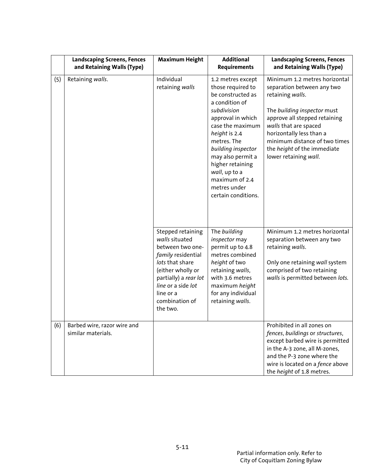|     | <b>Landscaping Screens, Fences</b><br>and Retaining Walls (Type) | <b>Maximum Height</b>                                                                                                                                                                                           | <b>Additional</b><br><b>Requirements</b>                                                                                                                                                                                                                                                                       | <b>Landscaping Screens, Fences</b><br>and Retaining Walls (Type)                                                                                                                                                                                                                                     |
|-----|------------------------------------------------------------------|-----------------------------------------------------------------------------------------------------------------------------------------------------------------------------------------------------------------|----------------------------------------------------------------------------------------------------------------------------------------------------------------------------------------------------------------------------------------------------------------------------------------------------------------|------------------------------------------------------------------------------------------------------------------------------------------------------------------------------------------------------------------------------------------------------------------------------------------------------|
| (5) | Retaining walls.                                                 | Individual<br>retaining walls                                                                                                                                                                                   | 1.2 metres except<br>those required to<br>be constructed as<br>a condition of<br>subdivision<br>approval in which<br>case the maximum<br>height is 2.4<br>metres. The<br>building inspector<br>may also permit a<br>higher retaining<br>wall, up to a<br>maximum of 2.4<br>metres under<br>certain conditions. | Minimum 1.2 metres horizontal<br>separation between any two<br>retaining walls.<br>The building inspector must<br>approve all stepped retaining<br>walls that are spaced<br>horizontally less than a<br>minimum distance of two times<br>the <i>height</i> of the immediate<br>lower retaining wall. |
|     |                                                                  | Stepped retaining<br>walls situated<br>between two one-<br>family residential<br>lots that share<br>(either wholly or<br>partially) a rear lot<br>line or a side lot<br>line or a<br>combination of<br>the two. | The building<br>inspector may<br>permit up to 4.8<br>metres combined<br>height of two<br>retaining walls,<br>with 3.6 metres<br>maximum height<br>for any individual<br>retaining walls.                                                                                                                       | Minimum 1.2 metres horizontal<br>separation between any two<br>retaining walls.<br>Only one retaining wall system<br>comprised of two retaining<br>walls is permitted between lots.                                                                                                                  |
| (6) | Barbed wire, razor wire and<br>similar materials.                |                                                                                                                                                                                                                 |                                                                                                                                                                                                                                                                                                                | Prohibited in all zones on<br>fences, buildings or structures,<br>except barbed wire is permitted<br>in the A-3 zone, all M-zones,<br>and the P-3 zone where the<br>wire is located on a fence above<br>the height of 1.8 metres.                                                                    |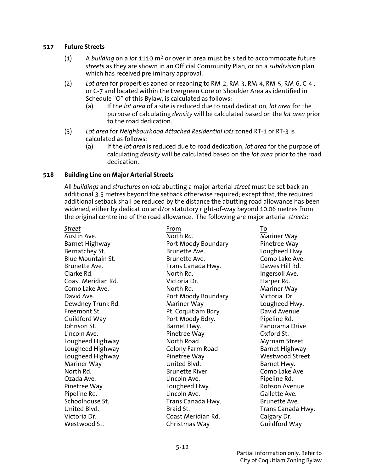#### **517 Future Streets**

- (1) A *building* on a *lot* 1110 m2 or over in area must be sited to accommodate future *street*s as they are shown in an Official Community Plan, or on a *subdivision* plan which has received preliminary approval.
- (2) *Lot area* for properties zoned or rezoning to RM-2, RM-3, RM-4, RM-5, RM-6, C-4 , or C-7 and located within the Evergreen Core or Shoulder Area as identified in Schedule "O" of this Bylaw, is calculated as follows:
	- (a) If the *lot area* of a site is reduced due to road dedication, *lot area* for the purpose of calculating *density* will be calculated based on the *lot area* prior to the road dedication.
- (3) *Lot area* for *Neighbourhood Attached Residential lots* zoned RT-1 or RT-3 is calculated as follows:
	- (a) If the *lot area* is reduced due to road dedication, *lot area* for the purpose of calculating *density* will be calculated based on the *lot area* prior to the road dedication.

#### **518 Building Line on Major Arterial Streets**

 All *buildings* and *structures* on *lots* abutting a major arterial *street* must be set back an additional 3.5 metres beyond the setback otherwise required; except that, the required additional setback shall be reduced by the distance the abutting road allowance has been widened, either by dedication and/or statutory right-of-way beyond 10.06 metres from the original centreline of the road allowance. The following are major arterial *streets*:

| Street                   | From                  | To                |
|--------------------------|-----------------------|-------------------|
| Austin Ave.              | North Rd.             | Mariner Way       |
| <b>Barnet Highway</b>    | Port Moody Boundary   | Pinetree Way      |
| Bernatchey St.           | Brunette Ave.         | Lougheed Hwy.     |
| <b>Blue Mountain St.</b> | Brunette Ave.         | Como Lake Ave.    |
| Brunette Ave.            | Trans Canada Hwy.     | Dawes Hill Rd.    |
| Clarke Rd.               | North Rd.             | Ingersoll Ave.    |
| Coast Meridian Rd.       | Victoria Dr.          | Harper Rd.        |
| Como Lake Ave.           | North Rd.             | Mariner Way       |
| David Ave.               | Port Moody Boundary   | Victoria Dr.      |
| Dewdney Trunk Rd.        | Mariner Way           | Lougheed Hwy.     |
| Freemont St.             | Pt. Coquitlam Bdry.   | David Avenue      |
| Guildford Way            | Port Moody Bdry.      | Pipeline Rd.      |
| Johnson St.              | Barnet Hwy.           | Panorama Drive    |
| Lincoln Ave.             | Pinetree Way          | Oxford St.        |
| Lougheed Highway         | North Road            | Myrnam Street     |
| Lougheed Highway         | Colony Farm Road      | Barnet Highway    |
| Lougheed Highway         | Pinetree Way          | Westwood Street   |
| Mariner Way              | United Blvd.          | Barnet Hwy.       |
| North Rd.                | <b>Brunette River</b> | Como Lake Ave.    |
| Ozada Ave.               | Lincoln Ave.          | Pipeline Rd.      |
| Pinetree Way             | Lougheed Hwy.         | Robson Avenue     |
| Pipeline Rd.             | Lincoln Ave.          | Gallette Ave.     |
| Schoolhouse St.          | Trans Canada Hwy.     | Brunette Ave.     |
| United Blvd.             | Braid St.             | Trans Canada Hwy. |
| Victoria Dr.             | Coast Meridian Rd.    | Calgary Dr.       |
| Westwood St.             | Christmas Way         | Guildford Way     |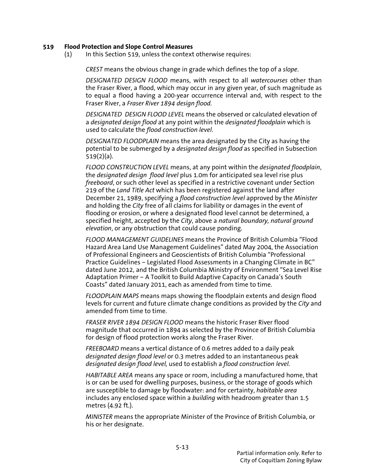#### **519 Flood Protection and Slope Control Measures**

(1) In this Section 519, unless the context otherwise requires:

*CREST* means the obvious change in grade which defines the top of a *slope*.

*DESIGNATED DESIGN FLOOD* means, with respect to all *watercourses* other than the Fraser River, a flood, which may occur in any given year, of such magnitude as to equal a flood having a 200-year occurrence interval and, with respect to the Fraser River, a *Fraser River 1894 design flood.*

*DESIGNATED DESIGN FLOOD LEVEL* means the observed or calculated elevation of a *designated design flood* at any point within the *designated floodplain* which is used to calculate the *flood construction level*.

*DESIGNATED FLOODPLAIN* means the area designated by the City as having the potential to be submerged by a *designated design flood* as specified in Subsection 519(2)(a).

 *FLOOD CONSTRUCTION LEVEL* means, at any point within the *designated floodplain*, the *designated design flood level* plus 1.0m for anticipated sea level rise plus *freeboard*, or such other level as specified in a restrictive covenant under Section 219 of the *Land Title Act* which has been registered against the land after December 21, 1989, specifying a *flood construction level* approved by the *Minister* and holding the *City* free of all claims for liability or damages in the event of flooding or erosion, or where a designated flood level cannot be determined, a specified height, accepted by the *City*, above a *natural boundary, natural ground elevation*, or any obstruction that could cause ponding.

*FLOOD MANAGEMENT GUIDELINES* means the Province of British Columbia "Flood Hazard Area Land Use Management Guidelines" dated May 2004, the Association of Professional Engineers and Geoscientists of British Columbia "Professional Practice Guidelines – Legislated Flood Assessments in a Changing Climate in BC" dated June 2012, and the British Columbia Ministry of Environment "Sea Level Rise Adaptation Primer – A Toolkit to Build Adaptive Capacity on Canada's South Coasts" dated January 2011, each as amended from time to time.

*FLOODPLAIN MAPS* means maps showing the floodplain extents and design flood levels for current and future climate change conditions as provided by the *City* and amended from time to time.

*FRASER RIVER 1894 DESIGN FLOOD* means the historic Fraser River flood magnitude that occurred in 1894 as selected by the Province of British Columbia for design of flood protection works along the Fraser River.

*FREEBOARD* means a vertical distance of 0.6 metres added to a daily peak *designated design flood level* or 0.3 metres added to an instantaneous peak *designated design flood level,* used to establish a *flood construction level.*

 *HABITABLE AREA* means any space or room, including a manufactured home, that is or can be used for dwelling purposes, business, or the storage of goods which are susceptible to damage by floodwater: and for certainty, *habitable area* includes any enclosed space within a *building* with headroom greater than 1.5 metres (4.92 ft.).

 *MINISTER* means the appropriate Minister of the Province of British Columbia, or his or her designate.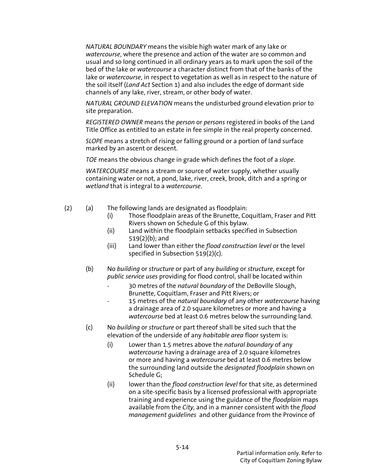*NATURAL BOUNDARY* means the visible high water mark of any lake or *watercourse*, where the presence and action of the water are so common and usual and so long continued in all ordinary years as to mark upon the soil of the bed of the lake or *watercourse* a character distinct from that of the banks of the lake or *watercourse*, in respect to vegetation as well as in respect to the nature of the soil itself (*Land Act* Section 1) and also includes the edge of dormant side channels of any lake, river, stream, or other body of water.

*NATURAL GROUND ELEVATION* means the undisturbed ground elevation prior to site preparation.

*REGISTERED OWNER* means the *person* or *persons* registered in books of the Land Title Office as entitled to an estate in fee simple in the real property concerned.

*SLOPE* means a stretch of rising or falling ground or a portion of land surface marked by an ascent or descent.

*TOE* means the obvious change in grade which defines the foot of a *slope*.

*WATERCOURSE* means a stream or source of water supply, whether usually containing water or not, a pond, lake, river, creek, brook, ditch and a spring or *wetland* that is integral to a *watercourse*.

- (2) (a) The following lands are designated as floodplain:
	- (i) Those floodplain areas of the Brunette, Coquitlam, Fraser and Pitt Rivers shown on Schedule G of this bylaw.
	- (ii) Land within the floodplain setbacks specified in Subsection 519(2)(b); and
	- (iii) Land lower than either the *flood construction level* or the level specified in Subsection 519(2)(c).
	- (b) No *building* or *structure* or part of any *building* or *structure*, except for *public service uses* providing for flood control, shall be located within
		- 30 metres of the *natural boundary* of the DeBoville Slough, Brunette, Coquitlam, Fraser and Pitt Rivers; or
		- 15 metres of the *natural boundary* of any other *watercourse* having a drainage area of 2.0 square kilometres or more and having a *watercourse* bed at least 0.6 metres below the surrounding land.
	- (c) No *building* or *structure* or part thereof shall be sited such that the elevation of the underside of any *habitable area* floor system is:
		- (i) Lower than 1.5 metres above the *natural boundary* of any *watercourse* having a drainage area of 2.0 square kilometres or more and having a *watercourse* bed at least 0.6 metres below the surrounding land outside the *designated floodplain* shown on Schedule G;
		- (ii) lower than the *flood construction level* for that site, as determined on a site-specific basis by a licensed professional with appropriate training and experience using the guidance of the *floodplain* maps available from the *City,* and in a manner consistent with the *flood management guidelines* and other guidance from the Province of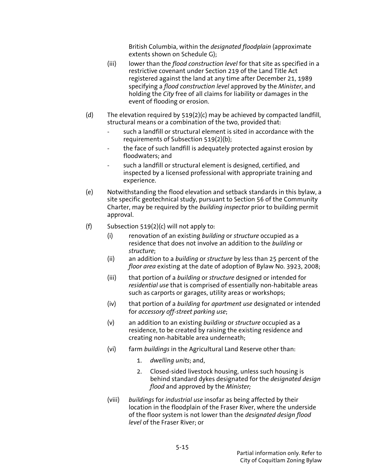British Columbia, within the *designated floodplain* (approximate extents shown on Schedule G);

- (iii) lower than the *flood construction level* for that site as specified in a restrictive covenant under Section 219 of the Land Title Act registered against the land at any time after December 21, 1989 specifying a *flood construction level* approved by the *Minister*, and holding the *City* free of all claims for liability or damages in the event of flooding or erosion.
- (d) The elevation required by  $519(2)(c)$  may be achieved by compacted landfill, structural means or a combination of the two, provided that:
	- such a landfill or structural element is sited in accordance with the requirements of Subsection 519(2)(b);
	- the face of such landfill is adequately protected against erosion by floodwaters; and
	- such a landfill or structural element is designed, certified, and inspected by a licensed professional with appropriate training and experience.
- (e) Notwithstanding the flood elevation and setback standards in this bylaw, a site specific geotechnical study, pursuant to Section 56 of the Community Charter, may be required by the *building inspector* prior to building permit approval.
- (f) Subsection  $519(2)$ (c) will not apply to:
	- (i) renovation of an existing *building* or *structure* occupied as a residence that does not involve an addition to the *building* or *structure*;
	- (ii) an addition to a *building* or *structure* by less than 25 percent of the *floor area* existing at the date of adoption of Bylaw No. 3923, 2008;
	- (iii) that portion of a *building* or *structure* designed or intended for *residential use* that is comprised of essentially non-habitable areas such as carports or garages, utility areas or workshops;
	- (iv) that portion of a *building* for *apartment use* designated or intended for *accessory off-street parking use*;
	- (v) an addition to an existing *building* or *structure* occupied as a residence, to be created by raising the existing residence and creating non-habitable area underneath;
	- (vi) farm *buildings* in the Agricultural Land Reserve other than:
		- 1. *dwelling units*; and,
		- 2. Closed-sided livestock housing, unless such housing is behind standard dykes designated for the *designated design flood* and approved by the *Minister;*
	- (viii) *buildings* for *industrial use* insofar as being affected by their location in the floodplain of the Fraser River, where the underside of the floor system is not lower than the *designated design flood level* of the Fraser River; or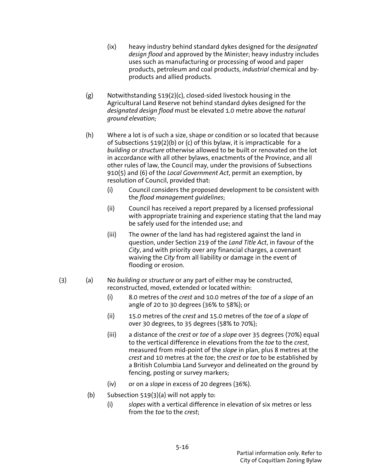- (ix) heavy industry behind standard dykes designed for the *designated design flood* and approved by the Minister; heavy industry includes uses such as manufacturing or processing of wood and paper products, petroleum and coal products, *industrial* chemical and byproducts and allied products.
- (g) Notwithstanding 519(2)(c), closed-sided livestock housing in the Agricultural Land Reserve not behind standard dykes designed for the *designated design flood* must be elevated 1.0 metre above the *natural ground elevation;*
- (h) Where a lot is of such a size, shape or condition or so located that because of Subsections 519(2)(b) or (c) of this bylaw, it is impracticable for a *building* or *structure* otherwise allowed to be built or renovated on the lot in accordance with all other bylaws, enactments of the Province, and all other rules of law, the Council may, under the provisions of Subsections 910(5) and (6) of the *Local Government Act*, permit an exemption, by resolution of Council, provided that:
	- (i) Council considers the proposed development to be consistent with the *flood management guidelines*;
	- (ii) Council has received a report prepared by a licensed professional with appropriate training and experience stating that the land may be safely used for the intended use; and
	- (iii) The owner of the land has had registered against the land in question, under Section 219 of the *Land Title Act*, in favour of the *City*, and with priority over any financial charges, a covenant waiving the *City* from all liability or damage in the event of flooding or erosion.
- (3) (a) No *building* or *structure* or any part of either may be constructed, reconstructed, moved, extended or located within:
	- (i) 8.0 metres of the *crest* and 10.0 metres of the *toe* of a *slope* of an angle of 20 to 30 degrees (36% to 58%); or
	- (ii) 15.0 metres of the *crest* and 15.0 metres of the *toe* of a *slope* of over 30 degrees, to 35 degrees (58% to 70%);
	- (iii) a distance of the *crest* or *toe* of a *slope* over 35 degrees (70%) equal to the vertical difference in elevations from the *toe* to the *crest*, measured from mid-point of the *slope* in plan, plus 8 metres at the *crest* and 10 metres at the *toe*; the *crest* or *toe* to be established by a British Columbia Land Surveyor and delineated on the ground by fencing, posting or survey markers;
	- (iv) or on a *slope* in excess of 20 degrees (36%).
	- (b) Subsection  $519(3)(a)$  will not apply to:
		- (i) *slopes* with a vertical difference in elevation of six metres or less from the *toe* to the *crest*;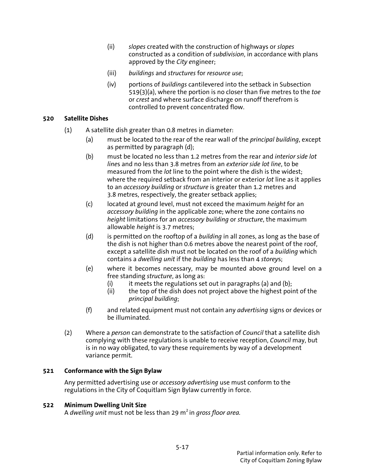- (ii) *slopes* created with the construction of highways or *slopes* constructed as a condition of *subdivision*, in accordance with plans approved by the *City e*ngineer;
- (iii) *buildings* and *structures* for *resource use*;
- (iv) portions of *buildings* cantilevered into the setback in Subsection 519(3)(a), where the portion is no closer than five metres to the *toe* or *crest* and where surface discharge on runoff therefrom is controlled to prevent concentrated flow.

# **520 Satellite Dishes**

- (1) A satellite dish greater than 0.8 metres in diameter:
	- (a) must be located to the rear of the rear wall of the *principal building*, except as permitted by paragraph (d);
	- (b) must be located no less than 1.2 metres from the rear and *interior side lot line*s and no less than 3.8 metres from an *exterior side lot line*, to be measured from the *lot* line to the point where the dish is the widest; where the required setback from an interior or exterior *lot* line as it applies to an *accessory building* or *structure* is greater than 1.2 metres and 3.8 metres, respectively, the greater setback applies;
	- (c) located at ground level, must not exceed the maximum *height* for an *accessory building* in the applicable zone; where the zone contains no *height* limitations for an *accessory building* or *structure*, the maximum allowable *height* is 3.7 metres;
	- (d) is permitted on the rooftop of a *building* in all zones, as long as the base of the dish is not higher than 0.6 metres above the nearest point of the roof, except a satellite dish must not be located on the roof of a *building* which contains a *dwelling unit* if the *building* has less than 4 *storey*s;
	- (e) where it becomes necessary, may be mounted above ground level on a free standing *structure*, as long as:
		- (i) it meets the regulations set out in paragraphs (a) and (b);<br>(ii) the top of the dish does not proiect above the highest poir
		- the top of the dish does not project above the highest point of the *principal building*;
	- (f) and related equipment must not contain any *advertising* signs or devices or be illuminated.
- (2) Where a *person* can demonstrate to the satisfaction of *Council* that a satellite dish complying with these regulations is unable to receive reception, *Council* may, but is in no way obligated, to vary these requirements by way of a development variance permit.

### **521 Conformance with the Sign Bylaw**

 Any permitted advertising use or *accessory advertising* use must conform to the regulations in the City of Coquitlam Sign Bylaw currently in force.

### **522 Minimum Dwelling Unit Size**

A *dwelling unit* must not be less than 29 m<sup>2</sup> in *gross floor area.*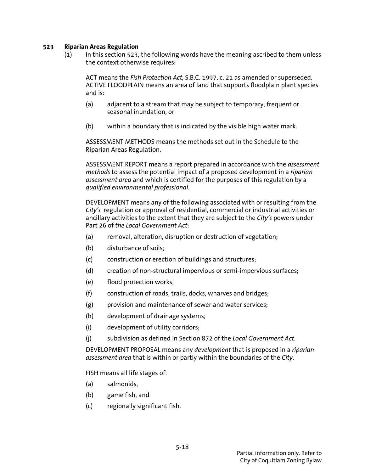## **523 Riparian Areas Regulation**

(1) In this section 523, the following words have the meaning ascribed to them unless the context otherwise requires:

ACT means the *Fish Protection Act,* S.B.C. 1997, c. 21 as amended or superseded. ACTIVE FLOODPLAIN means an area of land that supports floodplain plant species and is:

- (a) adjacent to a stream that may be subject to temporary, frequent or seasonal inundation, or
- (b) within a boundary that is indicated by the visible high water mark.

ASSESSMENT METHODS means the methods set out in the Schedule to the Riparian Areas Regulation.

ASSESSMENT REPORT means a report prepared in accordance with the *assessment methods* to assess the potential impact of a proposed development in a *riparian assessment area* and which is certified for the purposes of this regulation by a *qualified environmental professional*.

DEVELOPMENT means any of the following associated with or resulting from the *City's* regulation or approval of residential, commercial or industrial activities or ancillary activities to the extent that they are subject to the *City's* powers under Part 26 of *the Local Government Act*:

- (a) removal, alteration, disruption or destruction of vegetation;
- (b) disturbance of soils;
- (c) construction or erection of buildings and structures;
- (d) creation of non-structural impervious or semi-impervious surfaces;
- (e) flood protection works;
- (f) construction of roads, trails, docks, wharves and bridges;
- (g) provision and maintenance of sewer and water services;
- (h) development of drainage systems;
- (i) development of utility corridors;
- (j) subdivision as defined in Section 872 of the *Local Government Act*.

DEVELOPMENT PROPOSAL means any *development* that is proposed in a *riparian assessment area* that is within or partly within the boundaries of the *City*.

FISH means all life stages of:

- (a) salmonids,
- (b) game fish, and
- (c) regionally significant fish.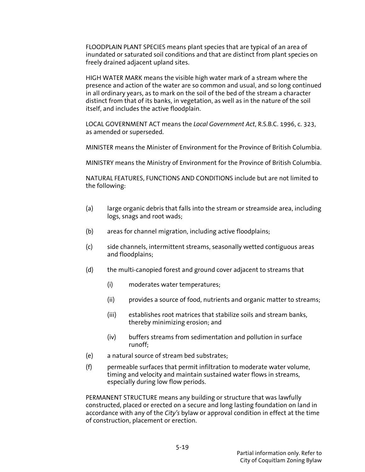FLOODPLAIN PLANT SPECIES means plant species that are typical of an area of inundated or saturated soil conditions and that are distinct from plant species on freely drained adjacent upland sites.

HIGH WATER MARK means the visible high water mark of a stream where the presence and action of the water are so common and usual, and so long continued in all ordinary years, as to mark on the soil of the bed of the stream a character distinct from that of its banks, in vegetation, as well as in the nature of the soil itself, and includes the active floodplain.

LOCAL GOVERNMENT ACT means the *Local Government Act*, R.S.B.C. 1996, c. 323, as amended or superseded.

MINISTER means the Minister of Environment for the Province of British Columbia.

MINISTRY means the Ministry of Environment for the Province of British Columbia.

NATURAL FEATURES, FUNCTIONS AND CONDITIONS include but are not limited to the following:

- (a) large organic debris that falls into the stream or streamside area, including logs, snags and root wads;
- (b) areas for channel migration, including active floodplains;
- (c) side channels, intermittent streams, seasonally wetted contiguous areas and floodplains;
- (d) the multi-canopied forest and ground cover adjacent to streams that
	- (i) moderates water temperatures;
	- (ii) provides a source of food, nutrients and organic matter to streams;
	- (iii) establishes root matrices that stabilize soils and stream banks, thereby minimizing erosion; and
	- (iv) buffers streams from sedimentation and pollution in surface runoff;
- (e) a natural source of stream bed substrates;
- (f) permeable surfaces that permit infiltration to moderate water volume, timing and velocity and maintain sustained water flows in streams, especially during low flow periods.

PERMANENT STRUCTURE means any building or structure that was lawfully constructed, placed or erected on a secure and long lasting foundation on land in accordance with any of the *City's* bylaw or approval condition in effect at the time of construction, placement or erection.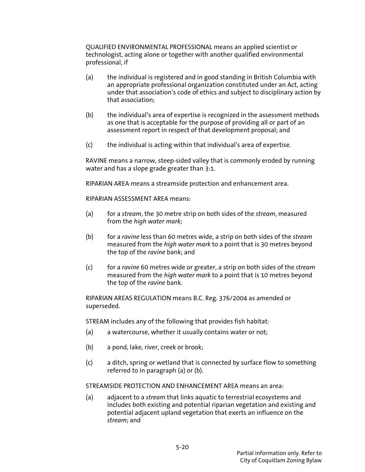QUALIFIED ENVIRONMENTAL PROFESSIONAL means an applied scientist or technologist, acting alone or together with another qualified environmental professional, if

- (a) the individual is registered and in good standing in British Columbia with an appropriate professional organization constituted under an Act, acting under that association's code of ethics and subject to disciplinary action by that association;
- (b) the individual's area of expertise is recognized in the assessment methods as one that is acceptable for the purpose of providing all or part of an assessment report in respect of that development proposal; and
- $(c)$  the individual is acting within that individual's area of expertise.

RAVINE means a narrow, steep-sided valley that is commonly eroded by running water and has a slope grade greater than 3:1.

RIPARIAN AREA means a streamside protection and enhancement area.

RIPARIAN ASSESSMENT AREA means:

- (a) for a *stream*, the 30 metre strip on both sides of the *stream*, measured from the *high water mark*;
- (b) for a *ravine* less than 60 metres wide, a strip on both sides of the *stream* measured from the *high water mark* to a point that is 30 metres beyond the top of the *ravine* bank; and
- (c) for a *ravine* 60 metres wide or greater, a strip on both sides of the *stream* measured from the *high water mark* to a point that is 10 metres beyond the top of the *ravine* bank.

RIPARIAN AREAS REGULATION means B.C. Reg. 376/2004 as amended or superseded.

STREAM includes any of the following that provides fish habitat:

- (a) a watercourse, whether it usually contains water or not;
- (b) a pond, lake, river, creek or brook;
- (c) a ditch, spring or wetland that is connected by surface flow to something referred to in paragraph (a) or (b).

STREAMSIDE PROTECTION AND ENHANCEMENT AREA means an area:

(a) adjacent to a *stream* that links aquatic to terrestrial ecosystems and includes both existing and potential riparian vegetation and existing and potential adjacent upland vegetation that exerts an influence on the *stream*; and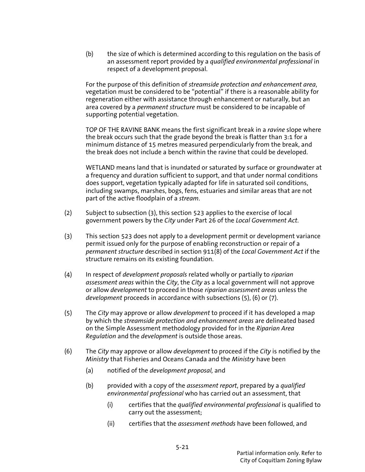(b) the size of which is determined according to this regulation on the basis of an assessment report provided by a *qualified environmental professional* in respect of a development proposal.

For the purpose of this definition of *streamside protection and enhancement area*, vegetation must be considered to be "potential" if there is a reasonable ability for regeneration either with assistance through enhancement or naturally, but an area covered by a *permanent structure* must be considered to be incapable of supporting potential vegetation.

TOP OF THE RAVINE BANK means the first significant break in a *ravine* slope where the break occurs such that the grade beyond the break is flatter than 3:1 for a minimum distance of 15 metres measured perpendicularly from the break, and the break does not include a bench within the ravine that could be developed.

WETLAND means land that is inundated or saturated by surface or groundwater at a frequency and duration sufficient to support, and that under normal conditions does support, vegetation typically adapted for life in saturated soil conditions, including swamps, marshes, bogs, fens, estuaries and similar areas that are not part of the active floodplain of a *stream*.

- (2) Subject to subsection (3), this section 523 applies to the exercise of local government powers by the *City* under Part 26 of the *Local Government Act*.
- (3) This section 523 does not apply to a development permit or development variance permit issued only for the purpose of enabling reconstruction or repair of a *permanent structure* described in section 911(8) of the *Local Government Act* if the structure remains on its existing foundation.
- (4) In respect of *development proposals* related wholly or partially to *riparian assessment areas* within the *City*, the *City* as a local government will not approve or allow *development* to proceed in those *riparian assessment areas* unless the *development* proceeds in accordance with subsections (5), (6) or (7).
- (5) The *City* may approve or allow *development* to proceed if it has developed a map by which the *streamside protection and enhancement areas* are delineated based on the Simple Assessment methodology provided for in the *Riparian Area Regulation* and the *development* is outside those areas.
- (6) The *City* may approve or allow *development* to proceed if the *City* is notified by the *Ministry* that Fisheries and Oceans Canada and the *Ministry* have been
	- (a) notified of the *development proposal,* and
	- (b) provided with a copy of the *assessment report*, prepared by a *qualified environmental professional* who has carried out an assessment, that
		- (i) certifies that the *qualified environmental professional* is qualified to carry out the assessment;
		- (ii) certifies that the *assessment methods* have been followed, and